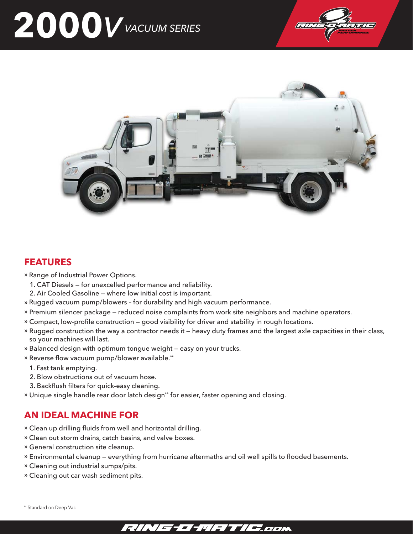# **2000**V VACUUM SERIES **CONSTRUCTION** VACUUM SERIES





#### • Range of Industrial Power Options. **FEATURES**

- » Range of Industrial Power Options.
	- 1. CAT Diesels for unexcelled performance and reliability.
- 2. Air Cooled Gasoline where low initial cost is important.<br>Performance and high vacuum performance.
	- » Rugged vacuum pump/blowers for durability and high vacuum performance.
- Premium silencer package reduced noise complaints from work site neighbors and machine operators. » Premium silencer package reduced noise complaints from work site neighbors and machine operators.
- » Compact, low-profile construction good visibility for driver and stability in rough locations.
- » Rugged construction the way a contractor needs it heavy duty frames and the largest axle capacities in their class, so your machines will last.
	- so your machines will last.<br>» Balanced design with optimum tongue weight easy on your trucks.
- » Reverse flow vacuum pump/blower available.\*\*
- 1. Fast tank emptying.
	- 2. Blow obstructions out of vacuum hose.
	- z. втом орзиченоть out or vacuum nose.<br>3. Backflush filters for quick-easy cleaning.
	- » Unique single handle rear door latch design\*\* for easier, faster opening and closing.

#### • Unique single handle rear door latch design for easier, faster opening and closing. \*\* **AN IDEAL MACHINE FOR**

- » Clean up drilling fluids from well and horizontal drilling.
- » Clean out storm drains, catch basins, and valve boxes.
- » Clean out storm drams, catch basins,<br>» General construction site cleanup.
- » Environmental cleanup everything from hurricane aftermaths and oil well spills to flooded basements.
- » Cleaning out industrial sumps/pits.<br>» Cleaning out can use boxeling antality
- General construction site cleanup. » Cleaning out car wash sediment pits.

\*\* Standard on Deep Vac

## • Cleaning out carwash sediment pits.